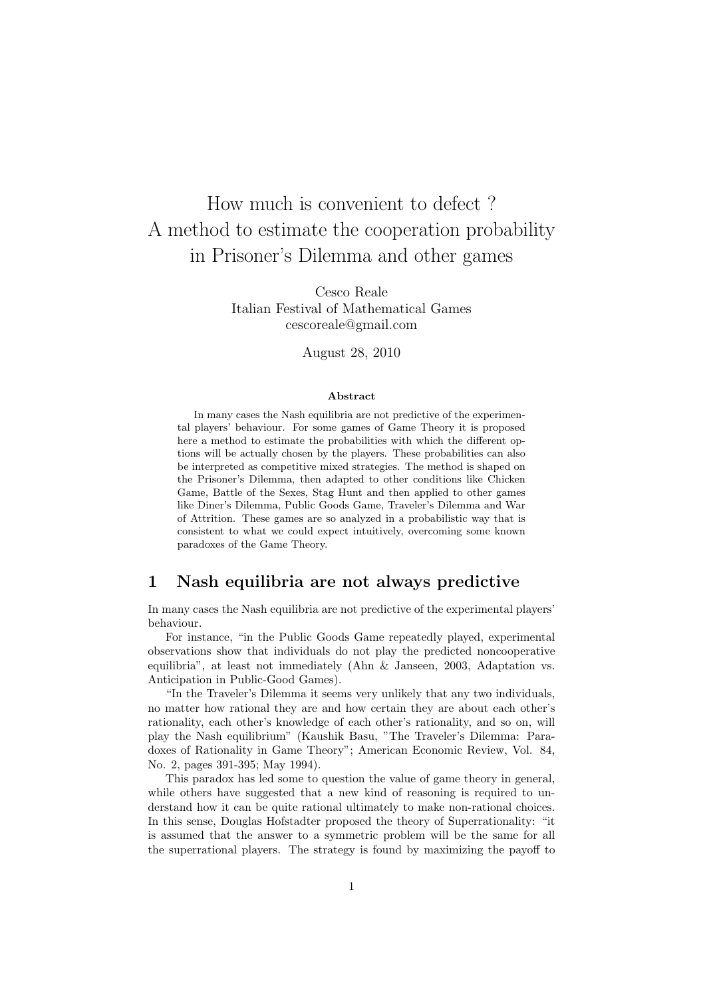# How much is convenient to defect ? A method to estimate the cooperation probability in Prisoner's Dilemma and other games

Cesco Reale Italian Festival of Mathematical Games cescoreale@gmail.com

August 28, 2010

#### Abstract

In many cases the Nash equilibria are not predictive of the experimental players' behaviour. For some games of Game Theory it is proposed here a method to estimate the probabilities with which the different options will be actually chosen by the players. These probabilities can also be interpreted as competitive mixed strategies. The method is shaped on the Prisoner's Dilemma, then adapted to other conditions like Chicken Game, Battle of the Sexes, Stag Hunt and then applied to other games like Diner's Dilemma, Public Goods Game, Traveler's Dilemma and War of Attrition. These games are so analyzed in a probabilistic way that is consistent to what we could expect intuitively, overcoming some known paradoxes of the Game Theory.

#### 1 Nash equilibria are not always predictive

In many cases the Nash equilibria are not predictive of the experimental players' behaviour.

For instance, "in the Public Goods Game repeatedly played, experimental observations show that individuals do not play the predicted noncooperative equilibria", at least not immediately (Ahn & Janseen, 2003, Adaptation vs. Anticipation in Public-Good Games).

"In the Traveler's Dilemma it seems very unlikely that any two individuals, no matter how rational they are and how certain they are about each other's rationality, each other's knowledge of each other's rationality, and so on, will play the Nash equilibrium" (Kaushik Basu, "The Traveler's Dilemma: Paradoxes of Rationality in Game Theory"; American Economic Review, Vol. 84, No. 2, pages 391-395; May 1994).

This paradox has led some to question the value of game theory in general, while others have suggested that a new kind of reasoning is required to understand how it can be quite rational ultimately to make non-rational choices. In this sense, Douglas Hofstadter proposed the theory of Superrationality: "it is assumed that the answer to a symmetric problem will be the same for all the superrational players. The strategy is found by maximizing the payoff to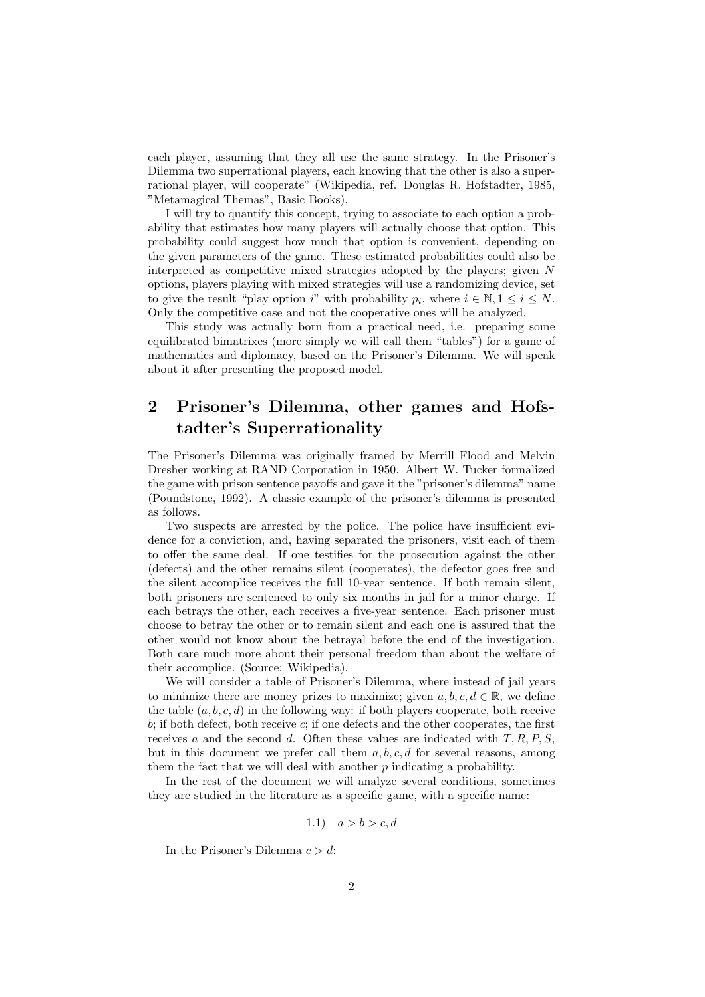each player, assuming that they all use the same strategy. In the Prisoner's Dilemma two superrational players, each knowing that the other is also a superrational player, will cooperate" (Wikipedia, ref. Douglas R. Hofstadter, 1985, "Metamagical Themas", Basic Books).

I will try to quantify this concept, trying to associate to each option a probability that estimates how many players will actually choose that option. This probability could suggest how much that option is convenient, depending on the given parameters of the game. These estimated probabilities could also be interpreted as competitive mixed strategies adopted by the players; given N options, players playing with mixed strategies will use a randomizing device, set to give the result "play option i" with probability  $p_i$ , where  $i \in \mathbb{N}, 1 \le i \le N$ . Only the competitive case and not the cooperative ones will be analyzed.

This study was actually born from a practical need, i.e. preparing some equilibrated bimatrixes (more simply we will call them "tables") for a game of mathematics and diplomacy, based on the Prisoner's Dilemma. We will speak about it after presenting the proposed model.

# 2 Prisoner's Dilemma, other games and Hofstadter's Superrationality

The Prisoner's Dilemma was originally framed by Merrill Flood and Melvin Dresher working at RAND Corporation in 1950. Albert W. Tucker formalized the game with prison sentence payoffs and gave it the "prisoner's dilemma" name (Poundstone, 1992). A classic example of the prisoner's dilemma is presented as follows.

Two suspects are arrested by the police. The police have insufficient evidence for a conviction, and, having separated the prisoners, visit each of them to offer the same deal. If one testifies for the prosecution against the other (defects) and the other remains silent (cooperates), the defector goes free and the silent accomplice receives the full 10-year sentence. If both remain silent, both prisoners are sentenced to only six months in jail for a minor charge. If each betrays the other, each receives a five-year sentence. Each prisoner must choose to betray the other or to remain silent and each one is assured that the other would not know about the betrayal before the end of the investigation. Both care much more about their personal freedom than about the welfare of their accomplice. (Source: Wikipedia).

We will consider a table of Prisoner's Dilemma, where instead of jail years to minimize there are money prizes to maximize; given  $a, b, c, d \in \mathbb{R}$ , we define the table  $(a, b, c, d)$  in the following way: if both players cooperate, both receive  $b$ ; if both defect, both receive  $c$ ; if one defects and the other cooperates, the first receives a and the second d. Often these values are indicated with  $T, R, P, S$ , but in this document we prefer call them  $a, b, c, d$  for several reasons, among them the fact that we will deal with another  $p$  indicating a probability.

In the rest of the document we will analyze several conditions, sometimes they are studied in the literature as a specific game, with a specific name:

$$
1.1) \quad a > b > c, d
$$

In the Prisoner's Dilemma  $c > d$ :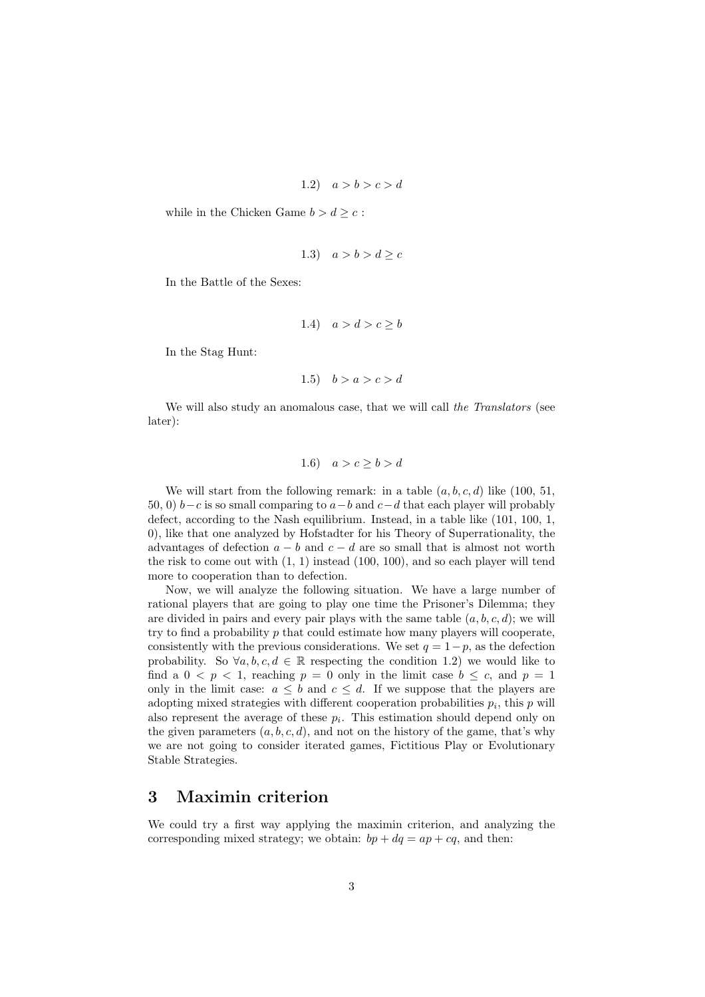$$
1.2) \quad a > b > c > d
$$

while in the Chicken Game  $b > d \geq c$ :

$$
1.3) \quad a > b > d \geq c
$$

In the Battle of the Sexes:

$$
1.4) \quad a > d > c \ge b
$$

In the Stag Hunt:

$$
1.5) \quad b > a > c > d
$$

We will also study an anomalous case, that we will call the Translators (see later):

$$
1.6) \quad a > c \ge b > d
$$

We will start from the following remark: in a table  $(a, b, c, d)$  like  $(100, 51,$ 50, 0)  $b-c$  is so small comparing to  $a-b$  and  $c-d$  that each player will probably defect, according to the Nash equilibrium. Instead, in a table like (101, 100, 1, 0), like that one analyzed by Hofstadter for his Theory of Superrationality, the advantages of defection  $a - b$  and  $c - d$  are so small that is almost not worth the risk to come out with  $(1, 1)$  instead  $(100, 100)$ , and so each player will tend more to cooperation than to defection.

Now, we will analyze the following situation. We have a large number of rational players that are going to play one time the Prisoner's Dilemma; they are divided in pairs and every pair plays with the same table  $(a, b, c, d)$ ; we will try to find a probability  $p$  that could estimate how many players will cooperate, consistently with the previous considerations. We set  $q = 1-p$ , as the defection probability. So  $\forall a, b, c, d \in \mathbb{R}$  respecting the condition 1.2) we would like to find a  $0 < p < 1$ , reaching  $p = 0$  only in the limit case  $b \leq c$ , and  $p = 1$ only in the limit case:  $a \leq b$  and  $c \leq d$ . If we suppose that the players are adopting mixed strategies with different cooperation probabilities  $p_i$ , this  $p$  will also represent the average of these  $p_i$ . This estimation should depend only on the given parameters  $(a, b, c, d)$ , and not on the history of the game, that's why we are not going to consider iterated games, Fictitious Play or Evolutionary Stable Strategies.

# 3 Maximin criterion

We could try a first way applying the maximin criterion, and analyzing the corresponding mixed strategy; we obtain:  $bp + dq = ap + cq$ , and then: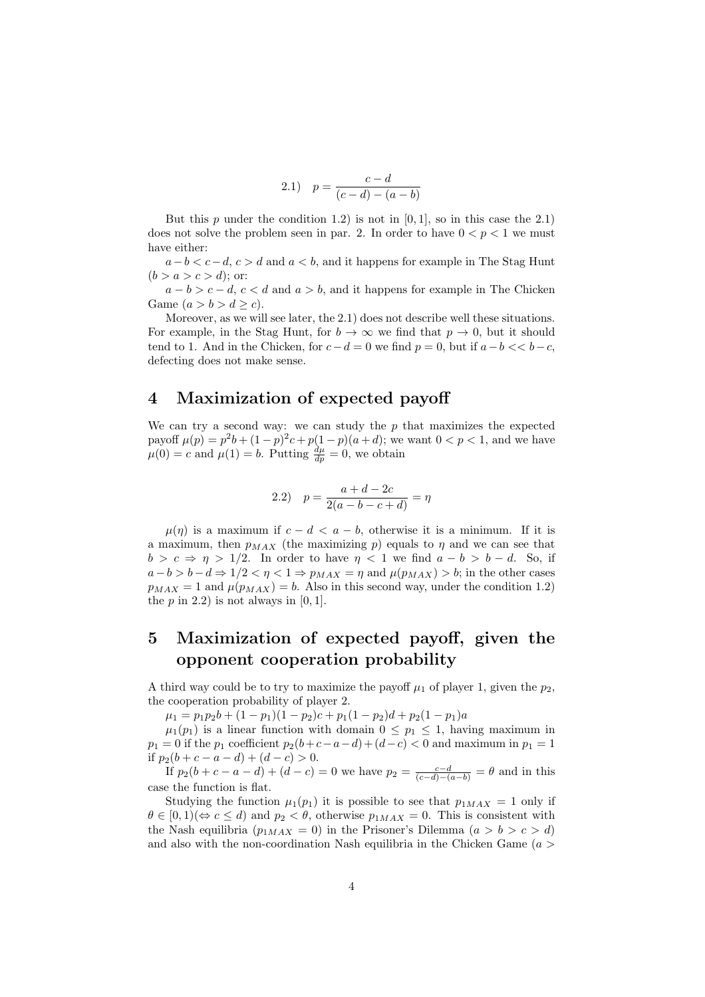2.1) 
$$
p = \frac{c - d}{(c - d) - (a - b)}
$$

But this p under the condition 1.2) is not in  $[0, 1]$ , so in this case the 2.1) does not solve the problem seen in par. 2. In order to have  $0 < p < 1$  we must have either:

 $a-b < c-d$ ,  $c > d$  and  $a < b$ , and it happens for example in The Stag Hunt  $(b > a > c > d);$  or:

 $a - b > c - d$ ,  $c < d$  and  $a > b$ , and it happens for example in The Chicken Game  $(a > b > d \ge c)$ .

Moreover, as we will see later, the 2.1) does not describe well these situations. For example, in the Stag Hunt, for  $b \to \infty$  we find that  $p \to 0$ , but it should tend to 1. And in the Chicken, for  $c-d=0$  we find  $p=0$ , but if  $a-b \ll b-c$ , defecting does not make sense.

#### 4 Maximization of expected payoff

We can try a second way: we can study the  $p$  that maximizes the expected payoff  $\mu(p) = p^2b + (1-p)^2c + p(1-p)(a+d)$ ; we want  $0 < p < 1$ , and we have  $\mu(0) = c$  and  $\mu(1) = b$ . Putting  $\frac{d\mu}{dp} = 0$ , we obtain

2.2) 
$$
p = \frac{a+d-2c}{2(a-b-c+d)} = \eta
$$

 $\mu(\eta)$  is a maximum if  $c - d < a - b$ , otherwise it is a minimum. If it is a maximum, then  $p_{MAX}$  (the maximizing p) equals to  $\eta$  and we can see that  $b > c \Rightarrow \eta > 1/2$ . In order to have  $\eta < 1$  we find  $a - b > b - d$ . So, if  $a-b > b-d \Rightarrow 1/2 < \eta < 1 \Rightarrow p_{MAX} = \eta$  and  $\mu(p_{MAX}) > b$ ; in the other cases  $p_{MAX} = 1$  and  $\mu(p_{MAX}) = b$ . Also in this second way, under the condition 1.2) the  $p$  in 2.2) is not always in  $[0, 1]$ .

# 5 Maximization of expected payoff, given the opponent cooperation probability

A third way could be to try to maximize the payoff  $\mu_1$  of player 1, given the  $p_2$ , the cooperation probability of player 2.

 $\mu_1 = p_1p_2b + (1-p_1)(1-p_2)c + p_1(1-p_2)d + p_2(1-p_1)a$ 

 $\mu_1(p_1)$  is a linear function with domain  $0 \leq p_1 \leq 1$ , having maximum in  $p_1 = 0$  if the  $p_1$  coefficient  $p_2(b+c-a-d)+(d-c) < 0$  and maximum in  $p_1 = 1$ if  $p_2(b + c - a - d) + (d - c) > 0$ .

If  $p_2(b + c - a - d) + (d - c) = 0$  we have  $p_2 = \frac{c - d}{(c - d) - (a - b)} = \theta$  and in this case the function is flat.

Studying the function  $\mu_1(p_1)$  it is possible to see that  $p_{1MAX} = 1$  only if  $\theta \in [0,1) \ (\Leftrightarrow c \leq d)$  and  $p_2 < \theta$ , otherwise  $p_{1MAX} = 0$ . This is consistent with the Nash equilibria  $(p_{1MAX} = 0)$  in the Prisoner's Dilemma  $(a > b > c > d)$ and also with the non-coordination Nash equilibria in the Chicken Game ( $a >$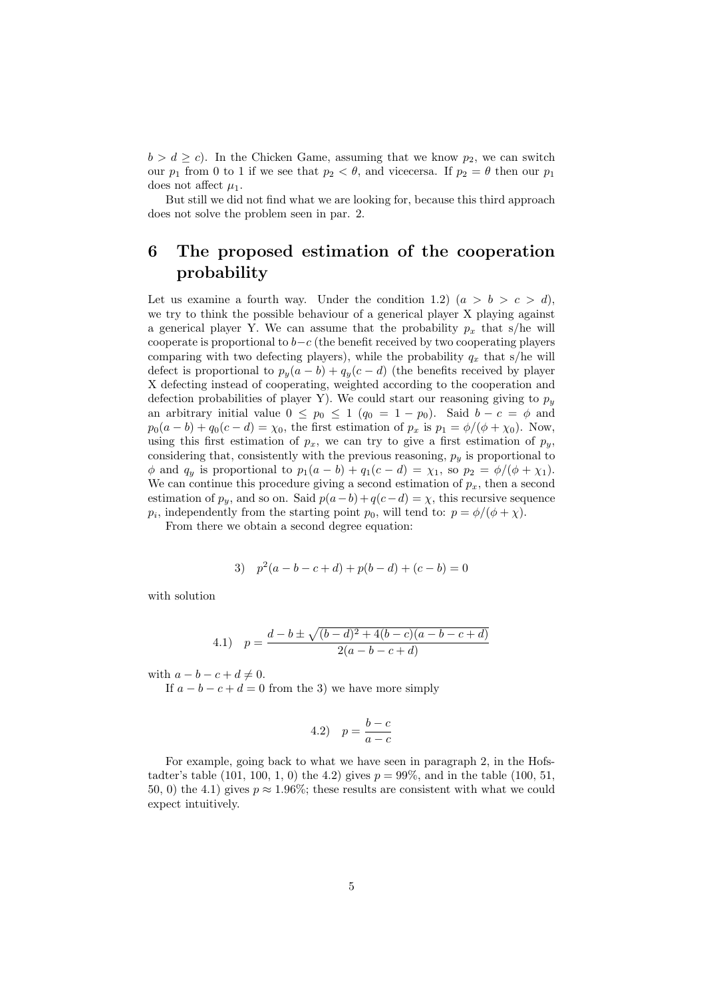$b > d \geq c$ . In the Chicken Game, assuming that we know  $p_2$ , we can switch our  $p_1$  from 0 to 1 if we see that  $p_2 < \theta$ , and vicecersa. If  $p_2 = \theta$  then our  $p_1$ does not affect  $\mu_1$ .

But still we did not find what we are looking for, because this third approach does not solve the problem seen in par. 2.

# 6 The proposed estimation of the cooperation probability

Let us examine a fourth way. Under the condition 1.2)  $(a > b > c > d)$ , we try to think the possible behaviour of a generical player X playing against a generical player Y. We can assume that the probability  $p_x$  that s/he will cooperate is proportional to  $b-c$  (the benefit received by two cooperating players comparing with two defecting players), while the probability  $q_x$  that s/he will defect is proportional to  $p_y(a - b) + q_y(c - d)$  (the benefits received by player X defecting instead of cooperating, weighted according to the cooperation and defection probabilities of player Y). We could start our reasoning giving to  $p_y$ an arbitrary initial value  $0 \leq p_0 \leq 1$   $(q_0 = 1 - p_0)$ . Said  $b - c = \phi$  and  $p_0(a - b) + q_0(c - d) = \chi_0$ , the first estimation of  $p_x$  is  $p_1 = \phi/(\phi + \chi_0)$ . Now, using this first estimation of  $p_x$ , we can try to give a first estimation of  $p_y$ , considering that, consistently with the previous reasoning,  $p_y$  is proportional to  $\phi$  and  $q_y$  is proportional to  $p_1(a - b) + q_1(c - d) = \chi_1$ , so  $p_2 = \phi/(\phi + \chi_1)$ . We can continue this procedure giving a second estimation of  $p_x$ , then a second estimation of  $p_y$ , and so on. Said  $p(a - b) + q(c - d) = \chi$ , this recursive sequence  $p_i$ , independently from the starting point  $p_0$ , will tend to:  $p = \phi/(\phi + \chi)$ .

From there we obtain a second degree equation:

3) 
$$
p^2(a-b-c+d) + p(b-d) + (c-b) = 0
$$

with solution

4.1) 
$$
p = \frac{d-b \pm \sqrt{(b-d)^2 + 4(b-c)(a-b-c+d)}}{2(a-b-c+d)}
$$

with  $a - b - c + d \neq 0$ .

If  $a - b - c + d = 0$  from the 3) we have more simply

$$
4.2) \quad p = \frac{b-c}{a-c}
$$

For example, going back to what we have seen in paragraph 2, in the Hofstadter's table  $(101, 100, 1, 0)$  the 4.2) gives  $p = 99\%$ , and in the table  $(100, 51, 0)$ 50, 0) the 4.1) gives  $p \approx 1.96\%$ ; these results are consistent with what we could expect intuitively.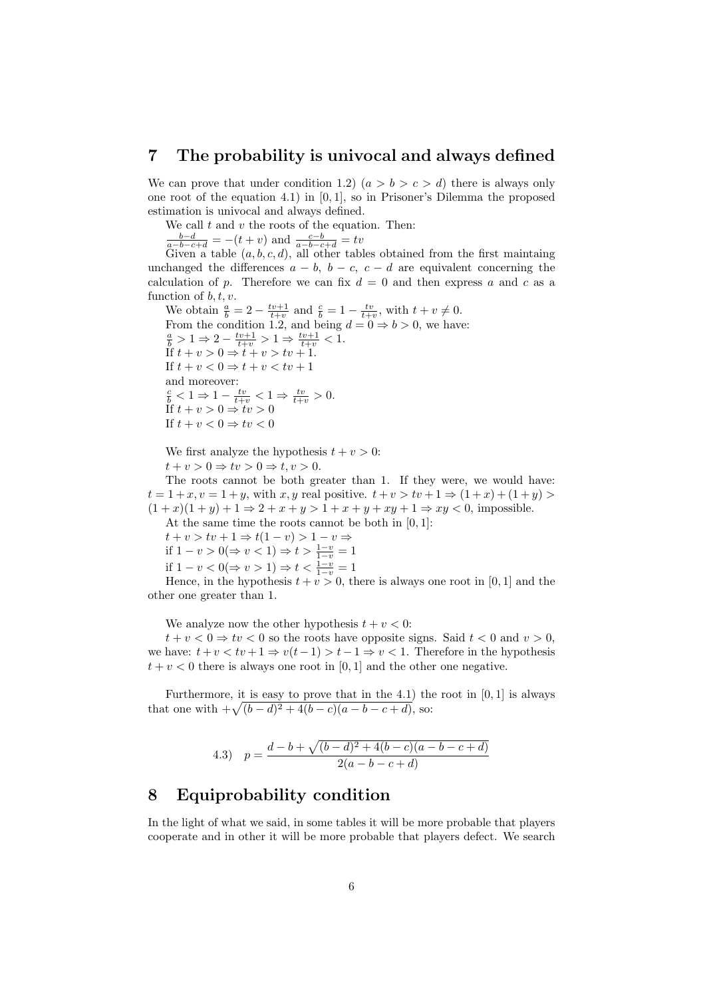#### 7 The probability is univocal and always defined

We can prove that under condition 1.2)  $(a > b > c > d)$  there is always only one root of the equation 4.1) in [0, 1], so in Prisoner's Dilemma the proposed estimation is univocal and always defined.

We call  $t$  and  $v$  the roots of the equation. Then:

 $\frac{b-d}{a-b-c+d} = -(t+v)$  and  $\frac{c-b}{a-b-c+d} = tv$ 

Given a table  $(a, b, c, d)$ , all other tables obtained from the first maintaing unchanged the differences  $a - b$ ,  $b - c$ ,  $c - d$  are equivalent concerning the calculation of p. Therefore we can fix  $d = 0$  and then express a and c as a function of  $b, t, v$ .

We obtain  $\frac{a}{b} = 2 - \frac{tv+1}{t+v}$  and  $\frac{c}{b} = 1 - \frac{tv}{t+v}$ , with  $t+v \neq 0$ . From the condition 1.2, and being  $d = 0 \Rightarrow b > 0$ , we have:  $\frac{a}{b} > 1 \Rightarrow 2 - \frac{tv+1}{t+v} > 1 \Rightarrow \frac{tv+1}{t+v} < 1.$ If  $t + v > 0 \Rightarrow t + v > tv + 1$ . If  $t + v < 0 \Rightarrow t + v < tv + 1$ and moreover:  $\frac{c}{b} < 1 \Rightarrow 1 - \frac{tv}{t+v} < 1 \Rightarrow \frac{tv}{t+v} > 0.$ If  $t + v > 0 \Rightarrow tv > 0$ If  $t + v < 0 \Rightarrow tv < 0$ 

We first analyze the hypothesis  $t + v > 0$ :  $t + v > 0 \Rightarrow tv > 0 \Rightarrow t, v > 0.$ 

The roots cannot be both greater than 1. If they were, we would have:  $t = 1 + x, v = 1 + y$ , with x, y real positive.  $t + v > tv + 1 \Rightarrow (1 + x) + (1 + y) >$  $(1+x)(1+y) + 1 \Rightarrow 2+x+y > 1+x+y+xy+1 \Rightarrow xy < 0$ , impossible. At the same time the roots cannot be both in  $[0, 1]$ :

 $t + v > tv + 1 \Rightarrow t(1 - v) > 1 - v \Rightarrow$ if 1 – *v* > 0(⇒ *v* < 1) ⇒ *t* >  $\frac{1-v}{1-v} = 1$ if  $1 - v < 0 \Rightarrow v > 1$ )  $\Rightarrow t < \frac{1 - v}{1 - v} = 1$ 

Hence, in the hypothesis  $t + v > 0$ , there is always one root in [0, 1] and the other one greater than 1.

We analyze now the other hypothesis  $t + v < 0$ :

 $t + v < 0 \Rightarrow tv < 0$  so the roots have opposite signs. Said  $t < 0$  and  $v > 0$ , we have:  $t + v < tv + 1 \Rightarrow v(t-1) > t-1 \Rightarrow v < 1$ . Therefore in the hypothesis  $t + v < 0$  there is always one root in [0, 1] and the other one negative.

Furthermore, it is easy to prove that in the 4.1) the root in  $[0, 1]$  is always Furthermore, it is easy to prove that in the 4.1) the<br>that one with  $+\sqrt{(b-d)^2+4(b-c)(a-b-c+d)}$ , so:

4.3) 
$$
p = \frac{d-b+\sqrt{(b-d)^2+4(b-c)(a-b-c+d)}}{2(a-b-c+d)}
$$

# 8 Equiprobability condition

In the light of what we said, in some tables it will be more probable that players cooperate and in other it will be more probable that players defect. We search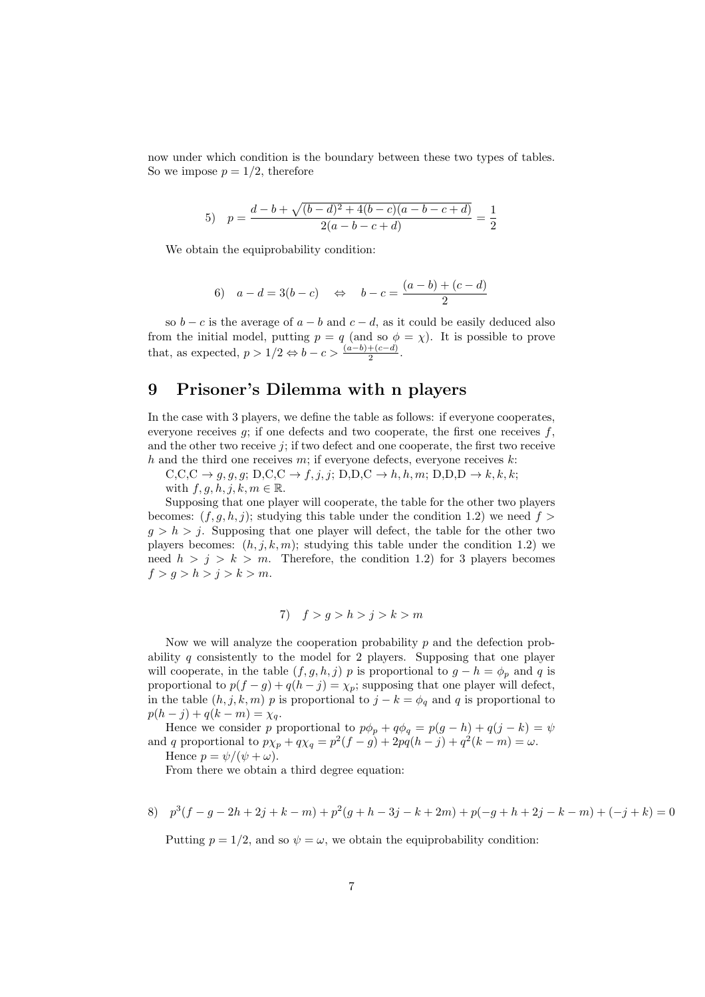now under which condition is the boundary between these two types of tables. So we impose  $p = 1/2$ , therefore

5) 
$$
p = \frac{d-b+\sqrt{(b-d)^2+4(b-c)(a-b-c+d)}}{2(a-b-c+d)} = \frac{1}{2}
$$

We obtain the equiprobability condition:

6) 
$$
a-d = 3(b-c)
$$
  $\Leftrightarrow$   $b-c = \frac{(a-b)+(c-d)}{2}$ 

so  $b - c$  is the average of  $a - b$  and  $c - d$ , as it could be easily deduced also from the initial model, putting  $p = q$  (and so  $\phi = \chi$ ). It is possible to prove that, as expected,  $p > 1/2 \Leftrightarrow b - c > \frac{(a-b)+(c-d)}{2}$ .

# 9 Prisoner's Dilemma with n players

In the case with 3 players, we define the table as follows: if everyone cooperates, everyone receives  $q$ ; if one defects and two cooperate, the first one receives  $f$ , and the other two receive  $j$ ; if two defect and one cooperate, the first two receive h and the third one receives  $m$ ; if everyone defects, everyone receives  $k$ :

 $C, C, C \rightarrow q, q, q; D, C, C \rightarrow f, j, j; D, D, C \rightarrow h, h, m; D, D, D \rightarrow k, k, k;$ with  $f, q, h, j, k, m \in \mathbb{R}$ .

Supposing that one player will cooperate, the table for the other two players becomes:  $(f, g, h, j)$ ; studying this table under the condition 1.2) we need  $f >$  $g > h > j$ . Supposing that one player will defect, the table for the other two players becomes:  $(h, j, k, m)$ ; studying this table under the condition 1.2) we need  $h > j > k > m$ . Therefore, the condition 1.2) for 3 players becomes  $f > g > h > j > k > m$ .

7) 
$$
f > g > h > j > k > m
$$

Now we will analyze the cooperation probability  $p$  and the defection probability q consistently to the model for 2 players. Supposing that one player will cooperate, in the table  $(f, g, h, j)$  p is proportional to  $g - h = \phi_p$  and q is proportional to  $p(f - g) + q(h - j) = \chi_p$ ; supposing that one player will defect, in the table  $(h, j, k, m)$  p is proportional to  $j - k = \phi_q$  and q is proportional to  $p(h - j) + q(k - m) = \chi_q.$ 

Hence we consider p proportional to  $p\phi_p + q\phi_q = p(g - h) + q(j - k) = \psi$ and q proportional to  $p\chi_p + q\chi_q = p^2(f - g) + 2pq(h - j) + q^2(k - m) = \omega$ .

Hence  $p = \psi/(\psi + \omega)$ .

From there we obtain a third degree equation:

8) 
$$
p^3(f-g-2h+2j+k-m)+p^2(g+h-3j-k+2m)+p(-g+h+2j-k-m)+(-j+k)=0
$$

Putting  $p = 1/2$ , and so  $\psi = \omega$ , we obtain the equiprobability condition: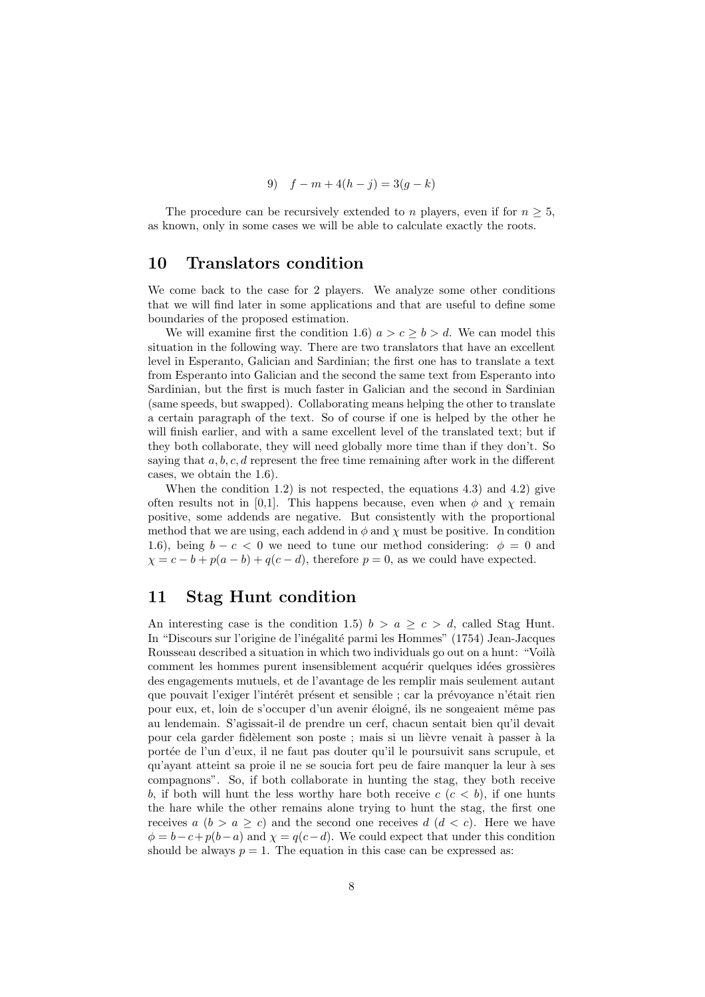9) 
$$
f - m + 4(h - j) = 3(g - k)
$$

The procedure can be recursively extended to n players, even if for  $n \geq 5$ , as known, only in some cases we will be able to calculate exactly the roots.

#### 10 Translators condition

We come back to the case for 2 players. We analyze some other conditions that we will find later in some applications and that are useful to define some boundaries of the proposed estimation.

We will examine first the condition 1.6)  $a > c > b > d$ . We can model this situation in the following way. There are two translators that have an excellent level in Esperanto, Galician and Sardinian; the first one has to translate a text from Esperanto into Galician and the second the same text from Esperanto into Sardinian, but the first is much faster in Galician and the second in Sardinian (same speeds, but swapped). Collaborating means helping the other to translate a certain paragraph of the text. So of course if one is helped by the other he will finish earlier, and with a same excellent level of the translated text; but if they both collaborate, they will need globally more time than if they don't. So saying that  $a, b, c, d$  represent the free time remaining after work in the different cases, we obtain the 1.6).

When the condition 1.2) is not respected, the equations 4.3) and 4.2) give often results not in [0,1]. This happens because, even when  $\phi$  and  $\chi$  remain positive, some addends are negative. But consistently with the proportional method that we are using, each addend in  $\phi$  and  $\chi$  must be positive. In condition 1.6), being  $b - c < 0$  we need to tune our method considering:  $\phi = 0$  and  $\chi = c - b + p(a - b) + q(c - d)$ , therefore  $p = 0$ , as we could have expected.

# 11 Stag Hunt condition

An interesting case is the condition 1.5)  $b > a \geq c > d$ , called Stag Hunt. In "Discours sur l'origine de l'inégalité parmi les Hommes" (1754) Jean-Jacques Rousseau described a situation in which two individuals go out on a hunt: "Voilà comment les hommes purent insensiblement acquérir quelques idées grossières des engagements mutuels, et de l'avantage de les remplir mais seulement autant que pouvait l'exiger l'intérêt présent et sensible ; car la prévoyance n'était rien pour eux, et, loin de s'occuper d'un avenir éloigné, ils ne songeaient même pas au lendemain. S'agissait-il de prendre un cerf, chacun sentait bien qu'il devait pour cela garder fidèlement son poste ; mais si un lièvre venait à passer à la portée de l'un d'eux, il ne faut pas douter qu'il le poursuivit sans scrupule, et qu'ayant atteint sa proie il ne se soucia fort peu de faire manquer la leur `a ses compagnons". So, if both collaborate in hunting the stag, they both receive b, if both will hunt the less worthy hare both receive  $c$  ( $c < b$ ), if one hunts the hare while the other remains alone trying to hunt the stag, the first one receives  $a (b > a \geq c)$  and the second one receives  $d (d < c)$ . Here we have  $\phi = b - c + p(b - a)$  and  $\chi = q(c - d)$ . We could expect that under this condition should be always  $p = 1$ . The equation in this case can be expressed as: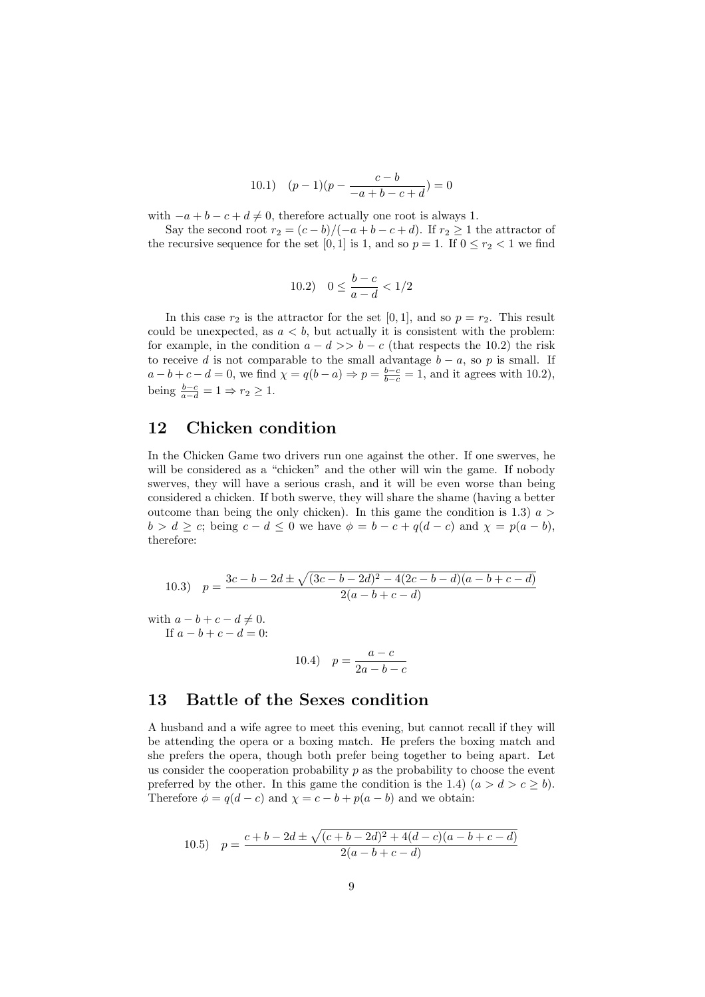10.1) 
$$
(p-1)(p - \frac{c-b}{-a+b-c+d}) = 0
$$

with  $-a + b - c + d \neq 0$ , therefore actually one root is always 1.

Say the second root  $r_2 = (c - b)/(-a + b - c + d)$ . If  $r_2 \ge 1$  the attractor of the recursive sequence for the set [0, 1] is 1, and so  $p = 1$ . If  $0 \le r_2 < 1$  we find

10.2) 
$$
0 \le \frac{b-c}{a-d} < 1/2
$$

In this case  $r_2$  is the attractor for the set [0, 1], and so  $p = r_2$ . This result could be unexpected, as  $a < b$ , but actually it is consistent with the problem: for example, in the condition  $a - d \gg b - c$  (that respects the 10.2) the risk to receive d is not comparable to the small advantage  $b - a$ , so p is small. If  $a - b + c - d = 0$ , we find  $\chi = q(b - a) \Rightarrow p = \frac{b - c}{b - c} = 1$ , and it agrees with 10.2), being  $\frac{b-c}{a-d} = 1 \Rightarrow r_2 \geq 1$ .

## 12 Chicken condition

In the Chicken Game two drivers run one against the other. If one swerves, he will be considered as a "chicken" and the other will win the game. If nobody swerves, they will have a serious crash, and it will be even worse than being considered a chicken. If both swerve, they will share the shame (having a better outcome than being the only chicken). In this game the condition is 1.3)  $a >$  $b > d \geq c$ ; being  $c - d \leq 0$  we have  $\phi = b - c + q(d - c)$  and  $\chi = p(a - b)$ , therefore:

10.3) 
$$
p = \frac{3c - b - 2d \pm \sqrt{(3c - b - 2d)^2 - 4(2c - b - d)(a - b + c - d)}}{2(a - b + c - d)}
$$

with  $a - b + c - d \neq 0$ . If  $a - b + c - d = 0$ :

10.4) 
$$
p = \frac{a - c}{2a - b - c}
$$

## 13 Battle of the Sexes condition

A husband and a wife agree to meet this evening, but cannot recall if they will be attending the opera or a boxing match. He prefers the boxing match and she prefers the opera, though both prefer being together to being apart. Let us consider the cooperation probability  $p$  as the probability to choose the event preferred by the other. In this game the condition is the 1.4)  $(a > d > c > b)$ . Therefore  $\phi = q(d - c)$  and  $\chi = c - b + p(a - b)$  and we obtain:

10.5) 
$$
p = \frac{c+b-2d \pm \sqrt{(c+b-2d)^2 + 4(d-c)(a-b+c-d)}}{2(a-b+c-d)}
$$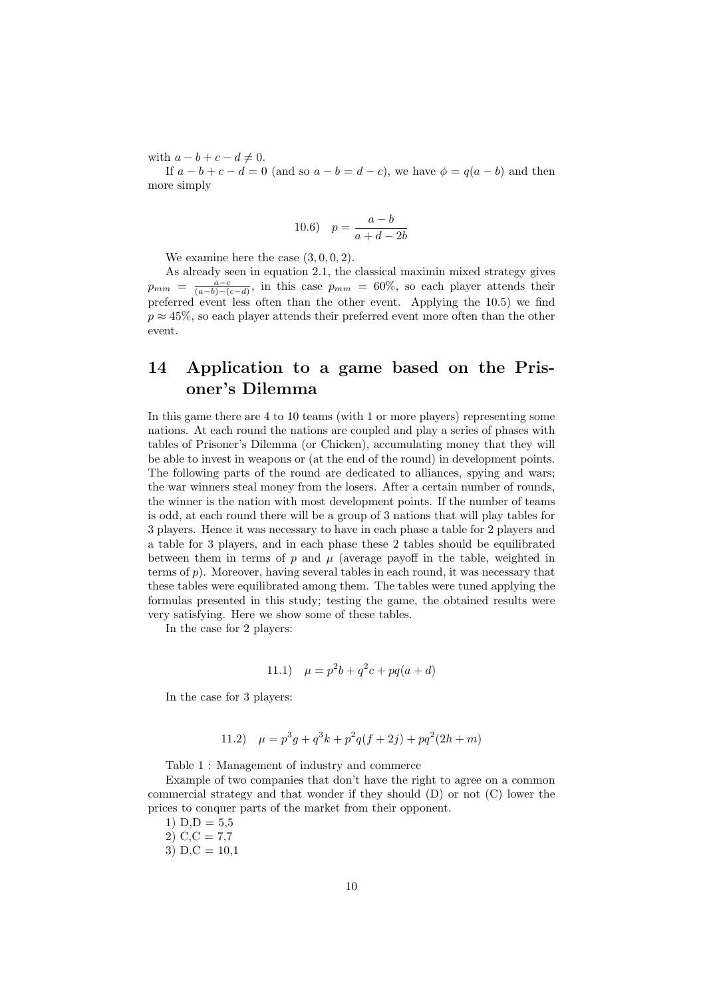with  $a - b + c - d \neq 0$ .

If  $a - b + c - d = 0$  (and so  $a - b = d - c$ ), we have  $\phi = q(a - b)$  and then more simply

10.6) 
$$
p = \frac{a-b}{a+d-2b}
$$

We examine here the case  $(3, 0, 0, 2)$ .

As already seen in equation 2.1, the classical maximin mixed strategy gives  $p_{mm} = \frac{a-c}{(a-b)-(c-d)}$ , in this case  $p_{mm} = 60\%$ , so each player attends their preferred event less often than the other event. Applying the 10.5) we find  $p \approx 45\%$ , so each player attends their preferred event more often than the other event.

# 14 Application to a game based on the Prisoner's Dilemma

In this game there are 4 to 10 teams (with 1 or more players) representing some nations. At each round the nations are coupled and play a series of phases with tables of Prisoner's Dilemma (or Chicken), accumulating money that they will be able to invest in weapons or (at the end of the round) in development points. The following parts of the round are dedicated to alliances, spying and wars; the war winners steal money from the losers. After a certain number of rounds, the winner is the nation with most development points. If the number of teams is odd, at each round there will be a group of 3 nations that will play tables for 3 players. Hence it was necessary to have in each phase a table for 2 players and a table for 3 players, and in each phase these 2 tables should be equilibrated between them in terms of p and  $\mu$  (average payoff in the table, weighted in terms of  $p$ ). Moreover, having several tables in each round, it was necessary that these tables were equilibrated among them. The tables were tuned applying the formulas presented in this study; testing the game, the obtained results were very satisfying. Here we show some of these tables.

In the case for 2 players:

11.1) 
$$
\mu = p^2b + q^2c + pq(a+d)
$$

In the case for 3 players:

11.2) 
$$
\mu = p^3 g + q^3 k + p^2 q(f+2j) + pq^2(2h+m)
$$

Table 1 : Management of industry and commerce

Example of two companies that don't have the right to agree on a common commercial strategy and that wonder if they should (D) or not (C) lower the prices to conquer parts of the market from their opponent.

- 1)  $D, D = 5,5$
- 2)  $C, C = 7,7$
- 3)  $D, C = 10,1$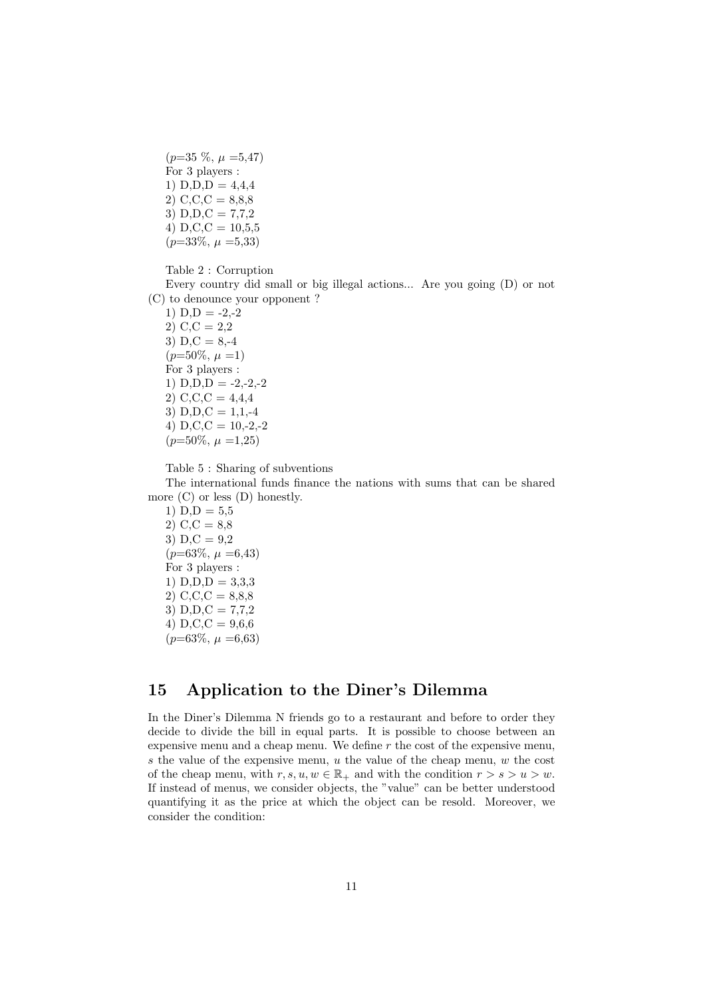$(p=35 \%, \mu=5,47)$ For 3 players : 1)  $D, D, D = 4, 4, 4$ 2)  $C, C, C = 8, 8, 8$ 3)  $D, D, C = 7,7,2$ 4)  $D, C, C = 10, 5, 5$  $(p=33\%, \mu=5,33)$ 

Table 2 : Corruption

Every country did small or big illegal actions... Are you going (D) or not (C) to denounce your opponent ?

1)  $D, D = -2,-2$ 2) C,C = 2,2 3)  $D, C = 8, -4$  $(p=50\%, \mu=1)$ For 3 players : 1)  $D, D, D = -2, -2, -2$ 2)  $C, C, C = 4,4,4$ 3)  $D.D.C = 1.1.-4$ 4) D,C,C =  $10,-2,-2$  $(p=50\%, \mu=1,25)$ 

Table 5 : Sharing of subventions

The international funds finance the nations with sums that can be shared more (C) or less (D) honestly.

1)  $D, D = 5,5$ 2)  $C, C = 8,8$ 3)  $D, C = 9,2$  $(p=63\%, \mu=6,43)$ For 3 players : 1)  $D, D, D = 3,3,3$ 2)  $C, C, C = 8,8,8$ 3)  $D, D, C = 7,7,2$ 4) D,C,C =  $9,6,6$  $(p=63\%, \mu=6,63)$ 

#### 15 Application to the Diner's Dilemma

In the Diner's Dilemma N friends go to a restaurant and before to order they decide to divide the bill in equal parts. It is possible to choose between an expensive menu and a cheap menu. We define  $r$  the cost of the expensive menu, s the value of the expensive menu,  $u$  the value of the cheap menu,  $w$  the cost of the cheap menu, with  $r, s, u, w \in \mathbb{R}_+$  and with the condition  $r > s > u > w$ . If instead of menus, we consider objects, the "value" can be better understood quantifying it as the price at which the object can be resold. Moreover, we consider the condition: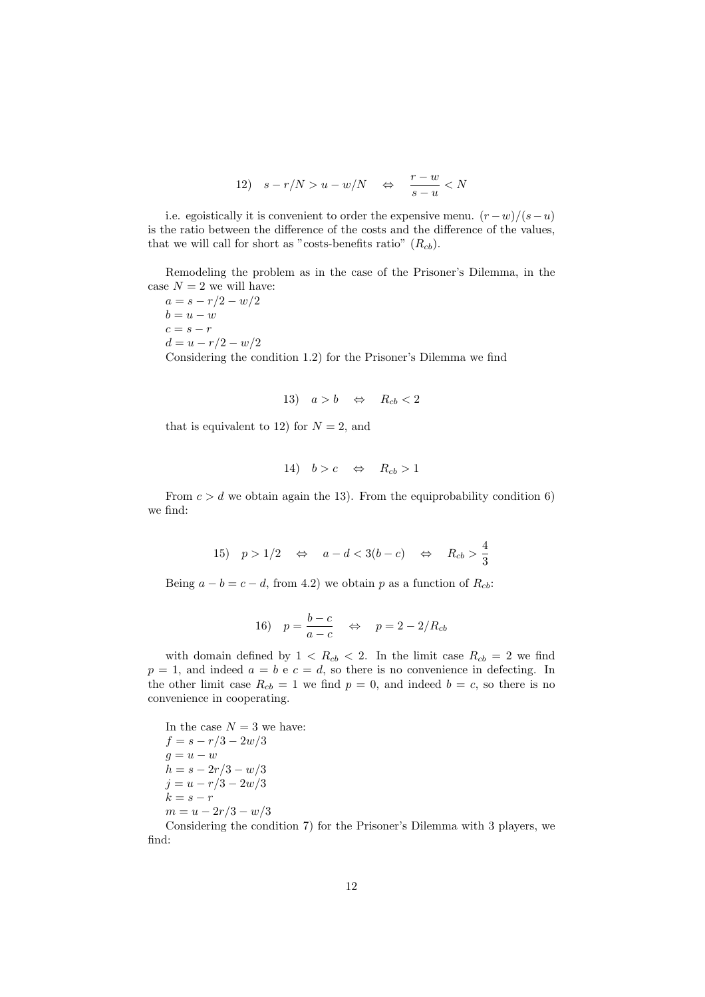12) 
$$
s-r/N > u-w/N \Leftrightarrow \frac{r-w}{s-u} < N
$$

i.e. egoistically it is convenient to order the expensive menu.  $(r - w)/(s - u)$ is the ratio between the difference of the costs and the difference of the values, that we will call for short as "costs-benefits ratio"  $(R_{cb})$ .

Remodeling the problem as in the case of the Prisoner's Dilemma, in the case  $N = 2$  we will have:

 $a = s - r/2 - w/2$  $b = u - w$  $c = s - r$  $d = u - r/2 - w/2$ Considering the condition 1.2) for the Prisoner's Dilemma we find

13) 
$$
a > b \Leftrightarrow R_{cb} < 2
$$

that is equivalent to 12) for  $N = 2$ , and

14) 
$$
b > c \Leftrightarrow R_{cb} > 1
$$

From  $c > d$  we obtain again the 13). From the equiprobability condition 6) we find:

15) 
$$
p > 1/2
$$
  $\Leftrightarrow$   $a - d < 3(b - c)$   $\Leftrightarrow$   $R_{cb} > \frac{4}{3}$ 

Being  $a - b = c - d$ , from 4.2) we obtain p as a function of  $R_{cb}$ :

16) 
$$
p = \frac{b-c}{a-c}
$$
  $\Leftrightarrow$   $p = 2 - 2/R_{cb}$ 

with domain defined by  $1 \langle R_{cb} \langle 2 \rangle$ . In the limit case  $R_{cb} = 2$  we find  $p = 1$ , and indeed  $a = b e c = d$ , so there is no convenience in defecting. In the other limit case  $R_{cb} = 1$  we find  $p = 0$ , and indeed  $b = c$ , so there is no convenience in cooperating.

In the case  $N = 3$  we have:  $f = s - r/3 - 2w/3$  $g = u - w$  $h = s - 2r/3 - w/3$  $j = u - r/3 - 2w/3$  $k = s - r$  $m = u - 2r/3 - w/3$ 

Considering the condition 7) for the Prisoner's Dilemma with 3 players, we find: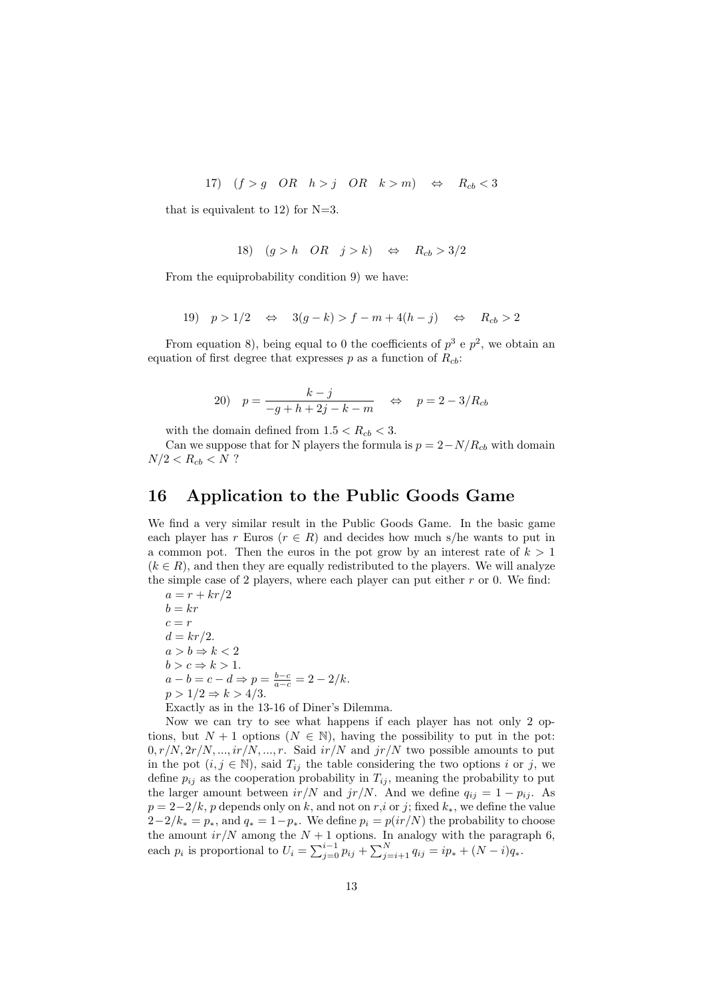17)  $(f > g \text{ OR } h > j \text{ OR } k > m) \Leftrightarrow R_{cb} < 3$ 

that is equivalent to 12) for  $N=3$ .

18) 
$$
(g > h
$$
 OR  $j > k$ )  $\Leftrightarrow$   $R_{cb} > 3/2$ 

From the equiprobability condition 9) we have:

19) 
$$
p > 1/2 \Leftrightarrow 3(g-k) > f - m + 4(h-j) \Leftrightarrow R_{cb} > 2
$$

From equation 8), being equal to 0 the coefficients of  $p^3$  e  $p^2$ , we obtain an equation of first degree that expresses p as a function of  $R_{cb}$ :

20) 
$$
p = \frac{k-j}{-g+h+2j-k-m}
$$
  $\Leftrightarrow$   $p = 2 - 3/R_{cb}$ 

with the domain defined from  $1.5 < R_{cb} < 3$ .

Can we suppose that for N players the formula is  $p = 2 - N/R_{cb}$  with domain  $N/2 < R_{cb} < N$  ?

#### 16 Application to the Public Goods Game

We find a very similar result in the Public Goods Game. In the basic game each player has r Euros ( $r \in R$ ) and decides how much s/he wants to put in a common pot. Then the euros in the pot grow by an interest rate of  $k > 1$  $(k \in R)$ , and then they are equally redistributed to the players. We will analyze the simple case of 2 players, where each player can put either  $r$  or 0. We find:

 $a = r + kr/2$  $b = kr$  $c = r$  $d = kr/2$ .  $a > b \Rightarrow k < 2$  $b > c \Rightarrow k > 1$ .  $a - b = c - d \Rightarrow p = \frac{b - c}{a - c} = 2 - 2/k.$  $p > 1/2 \Rightarrow k > 4/3$ . Exactly as in the 13-16 of Diner's Dilemma.

Now we can try to see what happens if each player has not only 2 options, but  $N + 1$  options  $(N \in \mathbb{N})$ , having the possibility to put in the pot:  $0, r/N, 2r/N, ..., ir/N, ..., r$ . Said  $ir/N$  and  $jr/N$  two possible amounts to put in the pot  $(i, j \in \mathbb{N})$ , said  $T_{ij}$  the table considering the two options i or j, we define  $p_{ij}$  as the cooperation probability in  $T_{ij}$ , meaning the probability to put the larger amount between  $ir/N$  and  $jr/N$ . And we define  $q_{ij} = 1 - p_{ij}$ . As  $p = 2-2/k$ , p depends only on k, and not on r,i or j; fixed  $k_*,$  we define the value  $2-2/k_* = p_*$ , and  $q_* = 1-p_*$ . We define  $p_i = p(i r/N)$  the probability to choose the amount  $ir/N$  among the  $N + 1$  options. In analogy with the paragraph 6, each  $p_i$  is proportional to  $U_i = \sum_{j=0}^{i-1} p_{ij} + \sum_{j=i+1}^{N} q_{ij} = ip_* + (N-i)q_*$ .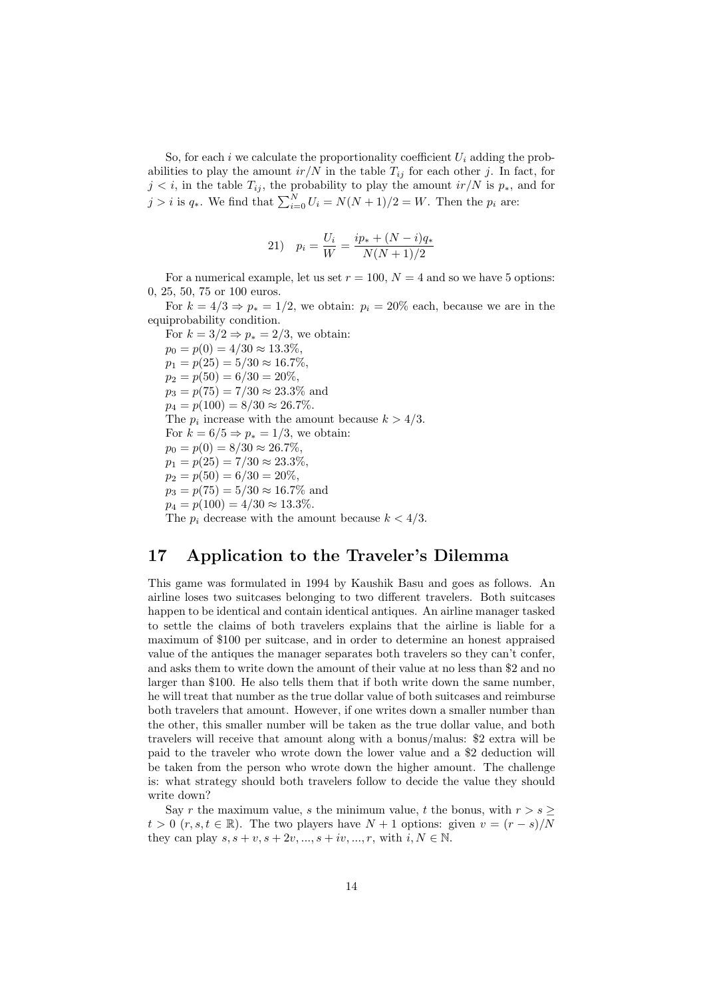So, for each i we calculate the proportionality coefficient  $U_i$  adding the probabilities to play the amount  $ir/N$  in the table  $T_{ij}$  for each other j. In fact, for  $j < i$ , in the table  $T_{ij}$ , the probability to play the amount  $ir/N$  is  $p_*$ , and for  $j > i$  is  $q_*$ . We find that  $\sum_{i=0}^{N} U_i = N(N+1)/2 = W$ . Then the  $p_i$  are:

21) 
$$
p_i = \frac{U_i}{W} = \frac{ip_* + (N - i)q_*}{N(N + 1)/2}
$$

For a numerical example, let us set  $r = 100$ ,  $N = 4$  and so we have 5 options: 0, 25, 50, 75 or 100 euros.

For  $k = 4/3 \Rightarrow p_* = 1/2$ , we obtain:  $p_i = 20\%$  each, because we are in the equiprobability condition.

For  $k = 3/2 \Rightarrow p_* = 2/3$ , we obtain:  $p_0 = p(0) = 4/30 \approx 13.3\%,$  $p_1 = p(25) = 5/30 \approx 16.7\%.$  $p_2 = p(50) = 6/30 = 20\%,$  $p_3 = p(75) = 7/30 \approx 23.3\%$  and  $p_4 = p(100) = 8/30 \approx 26.7\%.$ The  $p_i$  increase with the amount because  $k > 4/3$ . For  $k = 6/5 \Rightarrow p_* = 1/3$ , we obtain:  $p_0 = p(0) = 8/30 \approx 26.7\%.$  $p_1 = p(25) = 7/30 \approx 23.3\%$  $p_2 = p(50) = 6/30 = 20\%,$  $p_3 = p(75) = 5/30 \approx 16.7\%$  and  $p_4 = p(100) = 4/30 \approx 13.3\%.$ The  $p_i$  decrease with the amount because  $k < 4/3$ .

# 17 Application to the Traveler's Dilemma

This game was formulated in 1994 by Kaushik Basu and goes as follows. An airline loses two suitcases belonging to two different travelers. Both suitcases happen to be identical and contain identical antiques. An airline manager tasked to settle the claims of both travelers explains that the airline is liable for a maximum of \$100 per suitcase, and in order to determine an honest appraised value of the antiques the manager separates both travelers so they can't confer, and asks them to write down the amount of their value at no less than \$2 and no larger than \$100. He also tells them that if both write down the same number, he will treat that number as the true dollar value of both suitcases and reimburse both travelers that amount. However, if one writes down a smaller number than the other, this smaller number will be taken as the true dollar value, and both travelers will receive that amount along with a bonus/malus: \$2 extra will be paid to the traveler who wrote down the lower value and a \$2 deduction will be taken from the person who wrote down the higher amount. The challenge is: what strategy should both travelers follow to decide the value they should write down?

Say r the maximum value, s the minimum value, t the bonus, with  $r > s$  $t > 0$  (r, s,  $t \in \mathbb{R}$ ). The two players have  $N + 1$  options: given  $v = (r - s)/N$ they can play  $s, s + v, s + 2v, ..., s + iv, ..., r$ , with  $i, N \in \mathbb{N}$ .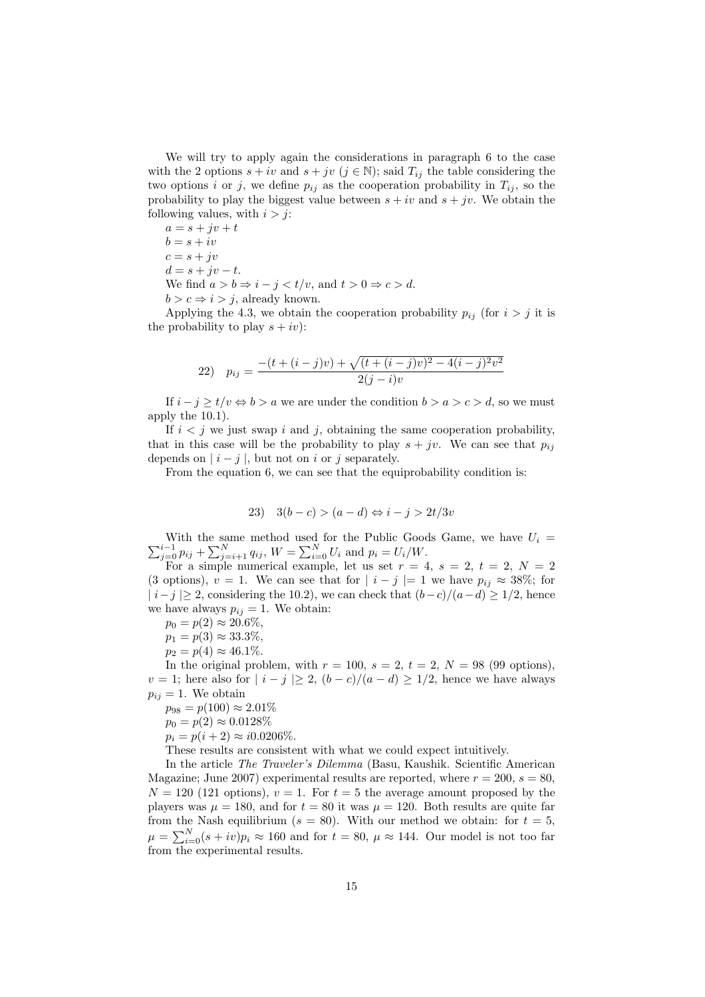We will try to apply again the considerations in paragraph 6 to the case with the 2 options  $s + iv$  and  $s + jv$   $(j \in \mathbb{N})$ ; said  $T_{ij}$  the table considering the two options i or j, we define  $p_{ij}$  as the cooperation probability in  $T_{ij}$ , so the probability to play the biggest value between  $s + iv$  and  $s + jv$ . We obtain the following values, with  $i > j$ :

 $a = s + jv + t$  $b = s + iv$  $c = s + jv$  $d = s + jv - t.$ We find  $a > b \Rightarrow i - j < t/v$ , and  $t > 0 \Rightarrow c > d$ .  $b > c \Rightarrow i > j$ , already known.

Applying the 4.3, we obtain the cooperation probability  $p_{ij}$  (for  $i > j$  it is the probability to play  $s + iv$ :

22) 
$$
p_{ij} = \frac{-(t + (i - j)v) + \sqrt{(t + (i - j)v)^2 - 4(i - j)^2 v^2}}{2(j - i)v}
$$

If  $i - j \ge t/v \Leftrightarrow b > a$  we are under the condition  $b > a > c > d$ , so we must apply the 10.1).

If  $i < j$  we just swap i and j, obtaining the same cooperation probability, that in this case will be the probability to play  $s + jv$ . We can see that  $p_{ij}$ depends on  $|i-j|$ , but not on i or j separately.

From the equation 6, we can see that the equiprobability condition is:

$$
23) \quad 3(b-c) > (a-d) \Leftrightarrow i-j > 2t/3v
$$

 $\sum_{j=0}^{i-1} p_{ij} + \sum_{j=i+1}^{N} q_{ij}$ ,  $W = \sum_{i=0}^{N} U_i$  and  $p_i = U_i/W$ . With the same method used for the Public Goods Game, we have  $U_i =$ 

For a simple numerical example, let us set  $r = 4$ ,  $s = 2$ ,  $t = 2$ ,  $N = 2$ (3 options),  $v = 1$ . We can see that for  $|i - j| = 1$  we have  $p_{ij} \approx 38\%$ ; for  $|i-j| \geq 2$ , considering the 10.2), we can check that  $(b-c)/(a-d) \geq 1/2$ , hence we have always  $p_{ij} = 1$ . We obtain:

 $p_0 = p(2) \approx 20.6\%,$ 

- $p_1 = p(3) \approx 33.3\%,$
- $p_2 = p(4) \approx 46.1\%.$

In the original problem, with  $r = 100$ ,  $s = 2$ ,  $t = 2$ ,  $N = 98$  (99 options),  $v = 1$ ; here also for  $|i - j| \ge 2$ ,  $(b - c)/(a - d) \ge 1/2$ , hence we have always  $p_{ij} = 1$ . We obtain

 $p_{98} = p(100) \approx 2.01\%$ 

 $p_0 = p(2) \approx 0.0128\%$ 

 $p_i = p(i + 2) \approx i0.0206\%.$ 

These results are consistent with what we could expect intuitively.

In the article The Traveler's Dilemma (Basu, Kaushik. Scientific American Magazine; June 2007) experimental results are reported, where  $r = 200$ ,  $s = 80$ ,  $N = 120$  (121 options),  $v = 1$ . For  $t = 5$  the average amount proposed by the players was  $\mu = 180$ , and for  $t = 80$  it was  $\mu = 120$ . Both results are quite far from the Nash equilibrium ( $s = 80$ ). With our method we obtain: for  $t = 5$ ,  $\mu = \sum_{i=0}^{N} (s + iv)p_i \approx 160$  and for  $t = 80$ ,  $\mu \approx 144$ . Our model is not too far from the experimental results.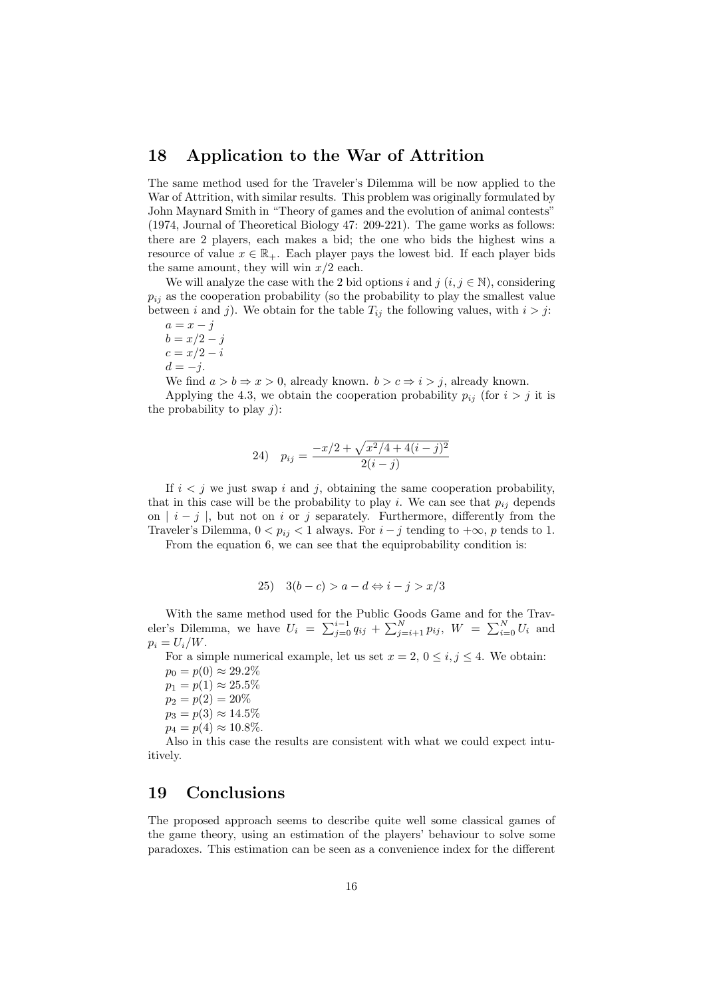#### 18 Application to the War of Attrition

The same method used for the Traveler's Dilemma will be now applied to the War of Attrition, with similar results. This problem was originally formulated by John Maynard Smith in "Theory of games and the evolution of animal contests" (1974, Journal of Theoretical Biology 47: 209-221). The game works as follows: there are 2 players, each makes a bid; the one who bids the highest wins a resource of value  $x \in \mathbb{R}_+$ . Each player pays the lowest bid. If each player bids the same amount, they will win  $x/2$  each.

We will analyze the case with the 2 bid options i and j  $(i, j \in \mathbb{N})$ , considering  $p_{ij}$  as the cooperation probability (so the probability to play the smallest value between *i* and *j*). We obtain for the table  $T_{ij}$  the following values, with  $i > j$ :

 $a = x - j$  $b = x/2 - j$  $c = x/2 - i$  $d = -j$ .

We find  $a > b \Rightarrow x > 0$ , already known.  $b > c \Rightarrow i > j$ , already known.

Applying the 4.3, we obtain the cooperation probability  $p_{ij}$  (for  $i > j$  it is the probability to play  $j$ :

24) 
$$
p_{ij} = \frac{-x/2 + \sqrt{x^2/4 + 4(i-j)^2}}{2(i-j)}
$$

If  $i < j$  we just swap i and j, obtaining the same cooperation probability, that in this case will be the probability to play i. We can see that  $p_{ij}$  depends on  $|i-j|$ , but not on i or j separately. Furthermore, differently from the Traveler's Dilemma,  $0 < p_{ij} < 1$  always. For  $i - j$  tending to  $+\infty$ , p tends to 1.

From the equation 6, we can see that the equiprobability condition is:

25) 
$$
3(b-c) > a-d \Leftrightarrow i-j > x/3
$$

With the same method used for the Public Goods Game and for the Travwith the same method used for the Public Goods Game and for the Trave-<br>eler's Dilemma, we have  $U_i = \sum_{j=0}^{i-1} q_{ij} + \sum_{j=i+1}^{N} p_{ij}$ ,  $W = \sum_{i=0}^{N} U_i$  and  $p_i = U_i/W$ .

For a simple numerical example, let us set  $x = 2, 0 \le i, j \le 4$ . We obtain:

 $p_0 = p(0) \approx 29.2\%$  $p_1 = p(1) \approx 25.5\%$  $p_2 = p(2) = 20\%$  $p_3 = p(3) \approx 14.5\%$  $p_4 = p(4) \approx 10.8\%.$ 

Also in this case the results are consistent with what we could expect intuitively.

## 19 Conclusions

The proposed approach seems to describe quite well some classical games of the game theory, using an estimation of the players' behaviour to solve some paradoxes. This estimation can be seen as a convenience index for the different